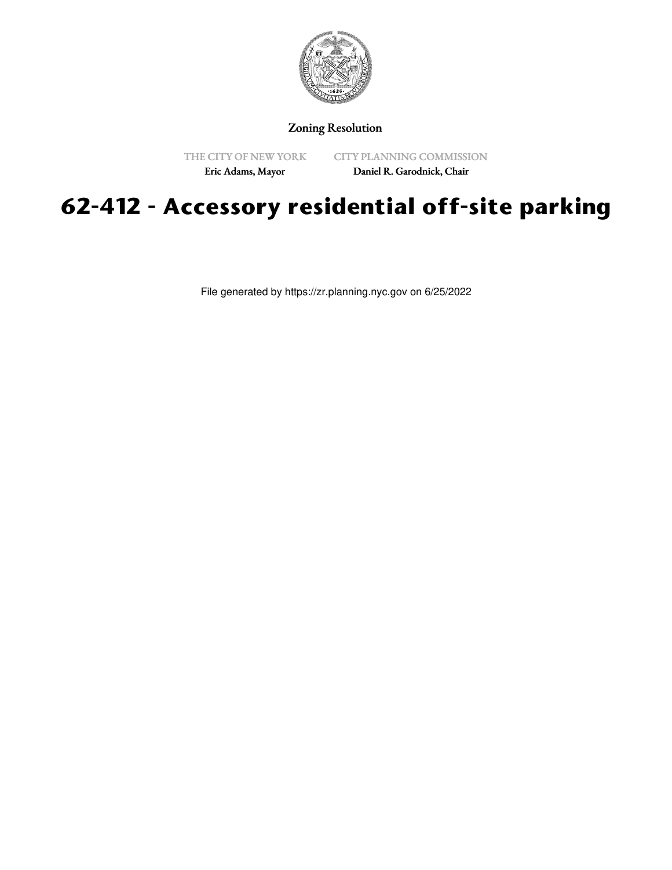

## Zoning Resolution

THE CITY OF NEW YORK

CITY PLANNING COMMISSION

Eric Adams, Mayor

Daniel R. Garodnick, Chair

## **62-412 - Accessory residential off-site parking**

File generated by https://zr.planning.nyc.gov on 6/25/2022